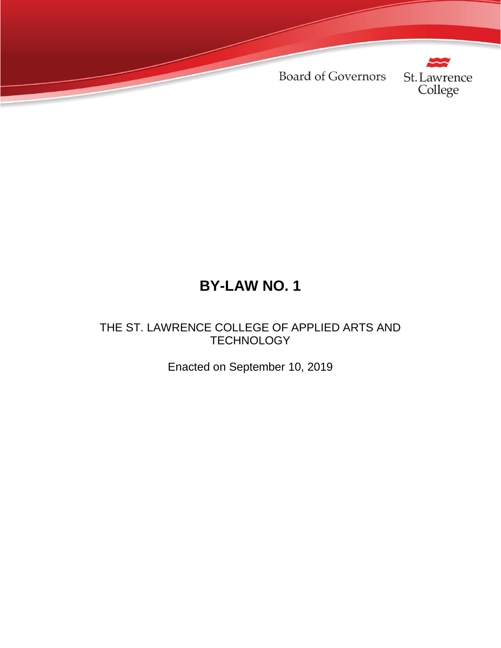**Board of Governors** 



# **BY-LAW NO. 1**

THE ST. LAWRENCE COLLEGE OF APPLIED ARTS AND **TECHNOLOGY** 

Enacted on September 10, 2019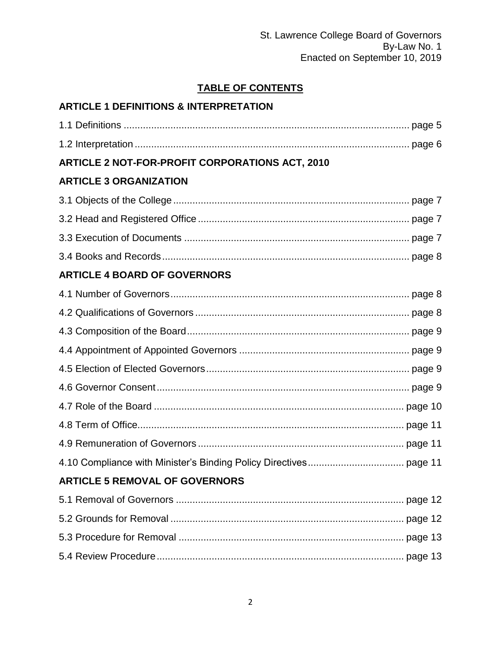# **TABLE OF CONTENTS**

# **ARTICLE 1 DEFINITIONS & INTERPRETATION**

| <b>ARTICLE 2 NOT-FOR-PROFIT CORPORATIONS ACT, 2010</b> |  |
|--------------------------------------------------------|--|
| <b>ARTICLE 3 ORGANIZATION</b>                          |  |
|                                                        |  |
|                                                        |  |
|                                                        |  |
|                                                        |  |
| <b>ARTICLE 4 BOARD OF GOVERNORS</b>                    |  |
|                                                        |  |
|                                                        |  |
|                                                        |  |
|                                                        |  |
|                                                        |  |
|                                                        |  |
|                                                        |  |
|                                                        |  |
|                                                        |  |
|                                                        |  |
| <b>ARTICLE 5 REMOVAL OF GOVERNORS</b>                  |  |
|                                                        |  |
|                                                        |  |
|                                                        |  |
|                                                        |  |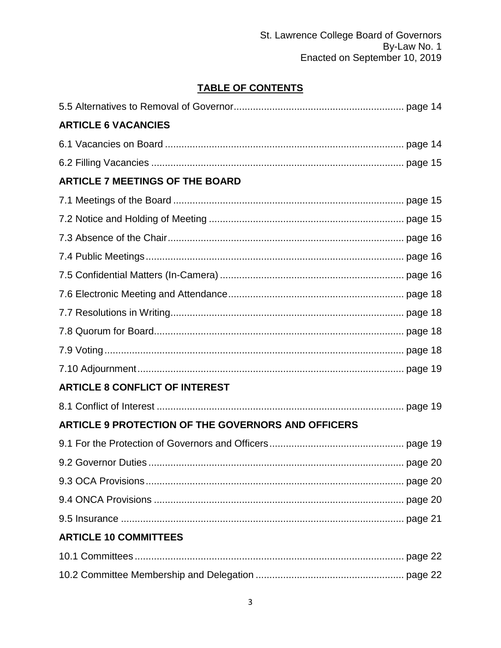# **TABLE OF CONTENTS**

| <b>ARTICLE 6 VACANCIES</b>                                |  |
|-----------------------------------------------------------|--|
|                                                           |  |
|                                                           |  |
| <b>ARTICLE 7 MEETINGS OF THE BOARD</b>                    |  |
|                                                           |  |
|                                                           |  |
|                                                           |  |
|                                                           |  |
|                                                           |  |
|                                                           |  |
|                                                           |  |
|                                                           |  |
|                                                           |  |
|                                                           |  |
| <b>ARTICLE 8 CONFLICT OF INTEREST</b>                     |  |
|                                                           |  |
| <b>ARTICLE 9 PROTECTION OF THE GOVERNORS AND OFFICERS</b> |  |
|                                                           |  |
|                                                           |  |
|                                                           |  |
|                                                           |  |
|                                                           |  |
| <b>ARTICLE 10 COMMITTEES</b>                              |  |
|                                                           |  |
|                                                           |  |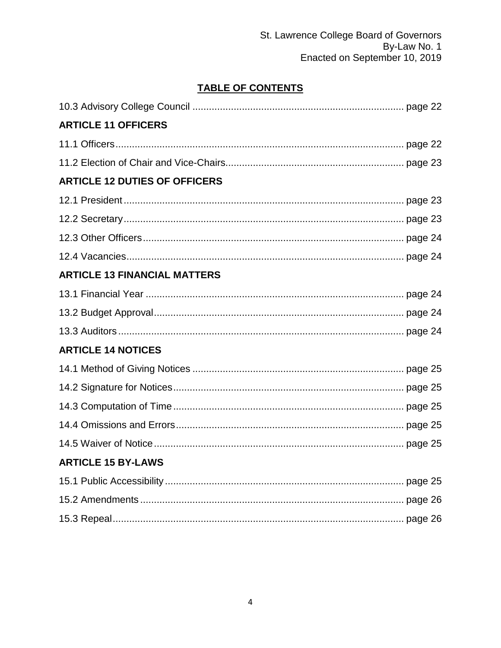# TABLE OF CONTENTS

| <b>ARTICLE 11 OFFICERS</b>           |  |
|--------------------------------------|--|
|                                      |  |
|                                      |  |
| <b>ARTICLE 12 DUTIES OF OFFICERS</b> |  |
|                                      |  |
|                                      |  |
|                                      |  |
|                                      |  |
| <b>ARTICLE 13 FINANCIAL MATTERS</b>  |  |
|                                      |  |
|                                      |  |
|                                      |  |
| <b>ARTICLE 14 NOTICES</b>            |  |
|                                      |  |
|                                      |  |
|                                      |  |
|                                      |  |
|                                      |  |
| <b>ARTICLE 15 BY-LAWS</b>            |  |
|                                      |  |
|                                      |  |
|                                      |  |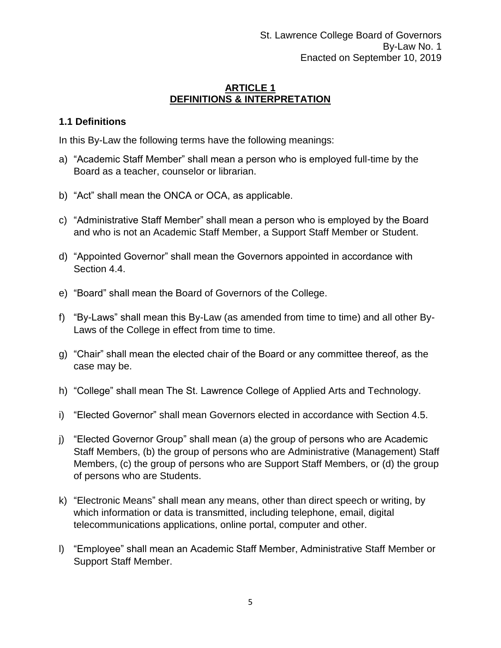#### **ARTICLE 1 DEFINITIONS & INTERPRETATION**

#### **1.1 Definitions**

In this By-Law the following terms have the following meanings:

- a) "Academic Staff Member" shall mean a person who is employed full-time by the Board as a teacher, counselor or librarian.
- b) "Act" shall mean the ONCA or OCA, as applicable.
- c) "Administrative Staff Member" shall mean a person who is employed by the Board and who is not an Academic Staff Member, a Support Staff Member or Student.
- d) "Appointed Governor" shall mean the Governors appointed in accordance with Section 4.4.
- e) "Board" shall mean the Board of Governors of the College.
- f) "By-Laws" shall mean this By-Law (as amended from time to time) and all other By-Laws of the College in effect from time to time.
- g) "Chair" shall mean the elected chair of the Board or any committee thereof, as the case may be.
- h) "College" shall mean The St. Lawrence College of Applied Arts and Technology.
- i) "Elected Governor" shall mean Governors elected in accordance with Section 4.5.
- j) "Elected Governor Group" shall mean (a) the group of persons who are Academic Staff Members, (b) the group of persons who are Administrative (Management) Staff Members, (c) the group of persons who are Support Staff Members, or (d) the group of persons who are Students.
- k) "Electronic Means" shall mean any means, other than direct speech or writing, by which information or data is transmitted, including telephone, email, digital telecommunications applications, online portal, computer and other.
- l) "Employee" shall mean an Academic Staff Member, Administrative Staff Member or Support Staff Member.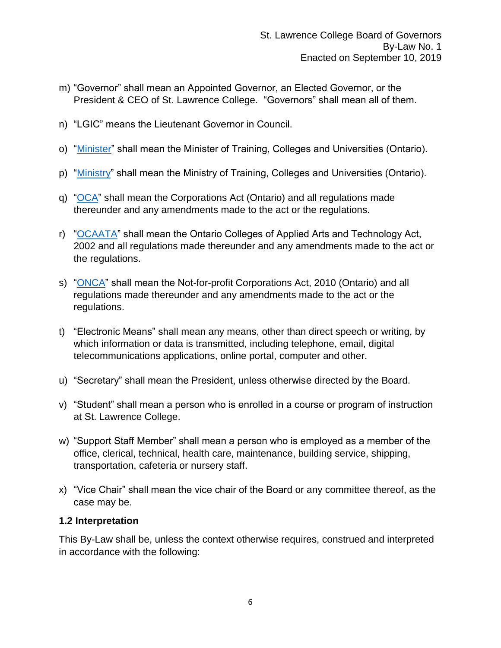- m) "Governor" shall mean an Appointed Governor, an Elected Governor, or the President & CEO of St. Lawrence College. "Governors" shall mean all of them.
- n) "LGIC" means the Lieutenant Governor in Council.
- o) ["Minister"](https://www.ontario.ca/page/ministry-training-colleges-universities) shall mean the Minister of Training, Colleges and Universities (Ontario).
- p) ["Ministry"](https://www.ontario.ca/page/ministry-training-colleges-universities) shall mean the Ministry of Training, Colleges and Universities (Ontario).
- q) ["OCA"](https://www.ontario.ca/laws/statute/90c38) shall mean the Corporations Act (Ontario) and all regulations made thereunder and any amendments made to the act or the regulations.
- r) ["OCAATA"](http://www.tcu.gov.on.ca/pepg/audiences/colleges/) shall mean the Ontario Colleges of Applied Arts and Technology Act, 2002 and all regulations made thereunder and any amendments made to the act or the regulations.
- s) ["ONCA"](https://www.ontario.ca/laws/statute/10n15) shall mean the Not-for-profit Corporations Act, 2010 (Ontario) and all regulations made thereunder and any amendments made to the act or the regulations.
- t) "Electronic Means" shall mean any means, other than direct speech or writing, by which information or data is transmitted, including telephone, email, digital telecommunications applications, online portal, computer and other.
- u) "Secretary" shall mean the President, unless otherwise directed by the Board.
- v) "Student" shall mean a person who is enrolled in a course or program of instruction at St. Lawrence College.
- w) "Support Staff Member" shall mean a person who is employed as a member of the office, clerical, technical, health care, maintenance, building service, shipping, transportation, cafeteria or nursery staff.
- x) "Vice Chair" shall mean the vice chair of the Board or any committee thereof, as the case may be.

#### **1.2 Interpretation**

This By-Law shall be, unless the context otherwise requires, construed and interpreted in accordance with the following: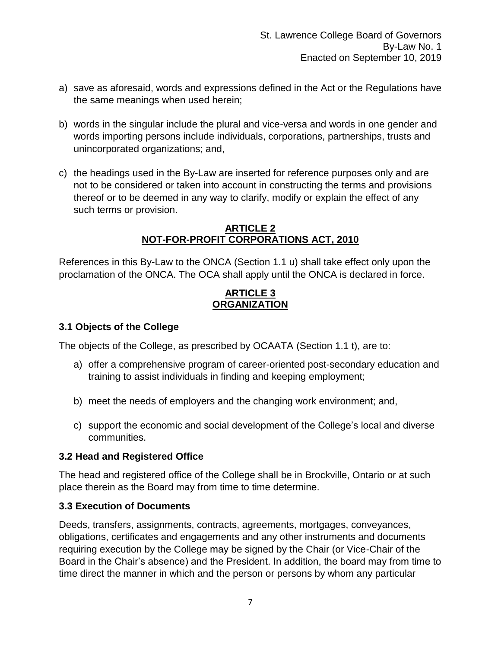- a) save as aforesaid, words and expressions defined in the Act or the Regulations have the same meanings when used herein;
- b) words in the singular include the plural and vice-versa and words in one gender and words importing persons include individuals, corporations, partnerships, trusts and unincorporated organizations; and,
- c) the headings used in the By-Law are inserted for reference purposes only and are not to be considered or taken into account in constructing the terms and provisions thereof or to be deemed in any way to clarify, modify or explain the effect of any such terms or provision.

#### **ARTICLE 2 NOT-FOR-PROFIT CORPORATIONS ACT, 2010**

References in this By-Law to the ONCA (Section 1.1 u) shall take effect only upon the proclamation of the ONCA. The OCA shall apply until the ONCA is declared in force.

#### **ARTICLE 3 ORGANIZATION**

#### **3.1 Objects of the College**

The objects of the College, as prescribed by OCAATA (Section 1.1 t), are to:

- a) offer a comprehensive program of career-oriented post-secondary education and training to assist individuals in finding and keeping employment;
- b) meet the needs of employers and the changing work environment; and,
- c) support the economic and social development of the College's local and diverse communities.

#### **3.2 Head and Registered Office**

The head and registered office of the College shall be in Brockville, Ontario or at such place therein as the Board may from time to time determine.

#### **3.3 Execution of Documents**

Deeds, transfers, assignments, contracts, agreements, mortgages, conveyances, obligations, certificates and engagements and any other instruments and documents requiring execution by the College may be signed by the Chair (or Vice-Chair of the Board in the Chair's absence) and the President. In addition, the board may from time to time direct the manner in which and the person or persons by whom any particular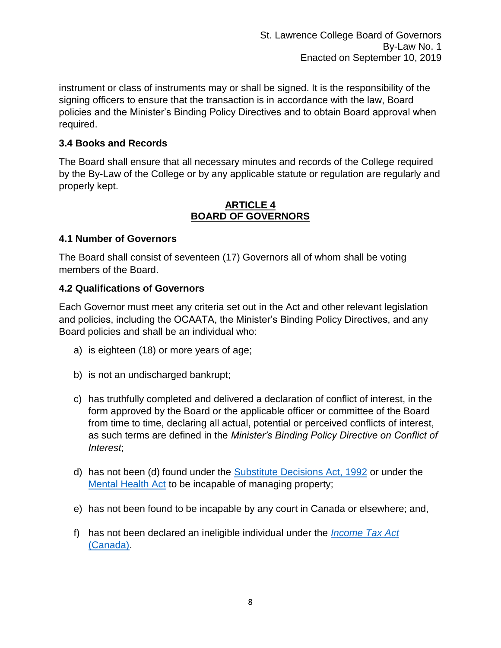St. Lawrence College Board of Governors By-Law No. 1 Enacted on September 10, 2019

instrument or class of instruments may or shall be signed. It is the responsibility of the signing officers to ensure that the transaction is in accordance with the law, Board policies and the Minister's Binding Policy Directives and to obtain Board approval when required.

#### **3.4 Books and Records**

The Board shall ensure that all necessary minutes and records of the College required by the By-Law of the College or by any applicable statute or regulation are regularly and properly kept.

#### **ARTICLE 4 BOARD OF GOVERNORS**

#### **4.1 Number of Governors**

The Board shall consist of seventeen (17) Governors all of whom shall be voting members of the Board.

#### **4.2 Qualifications of Governors**

Each Governor must meet any criteria set out in the Act and other relevant legislation and policies, including the OCAATA, the Minister's Binding Policy Directives, and any Board policies and shall be an individual who:

- a) is eighteen (18) or more years of age;
- b) is not an undischarged bankrupt;
- c) has truthfully completed and delivered a declaration of conflict of interest, in the form approved by the Board or the applicable officer or committee of the Board from time to time, declaring all actual, potential or perceived conflicts of interest, as such terms are defined in the *Minister's Binding Policy Directive on Conflict of Interest*;
- d) has not been (d) found under the **Substitute Decisions Act, 1992** or under the [Mental Health Act](https://www.ontario.ca/laws/statute/90m07) to be incapable of managing property;
- e) has not been found to be incapable by any court in Canada or elsewhere; and,
- f) has not been declared an ineligible individual under the *[Income Tax Act](https://laws-lois.justice.gc.ca/eng/acts/i-3.3/)*  [\(Canada\).](https://laws-lois.justice.gc.ca/eng/acts/i-3.3/)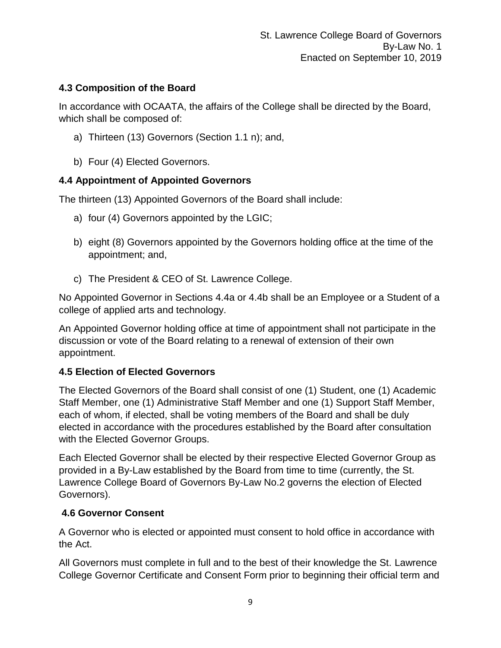# **4.3 Composition of the Board**

In accordance with OCAATA, the affairs of the College shall be directed by the Board, which shall be composed of:

- a) Thirteen (13) Governors (Section 1.1 n); and,
- b) Four (4) Elected Governors.

# **4.4 Appointment of Appointed Governors**

The thirteen (13) Appointed Governors of the Board shall include:

- a) four (4) Governors appointed by the LGIC;
- b) eight (8) Governors appointed by the Governors holding office at the time of the appointment; and,
- c) The President & CEO of St. Lawrence College.

No Appointed Governor in Sections 4.4a or 4.4b shall be an Employee or a Student of a college of applied arts and technology.

An Appointed Governor holding office at time of appointment shall not participate in the discussion or vote of the Board relating to a renewal of extension of their own appointment.

# **4.5 Election of Elected Governors**

The Elected Governors of the Board shall consist of one (1) Student, one (1) Academic Staff Member, one (1) Administrative Staff Member and one (1) Support Staff Member, each of whom, if elected, shall be voting members of the Board and shall be duly elected in accordance with the procedures established by the Board after consultation with the Elected Governor Groups.

Each Elected Governor shall be elected by their respective Elected Governor Group as provided in a By-Law established by the Board from time to time (currently, the St. Lawrence College Board of Governors By-Law No.2 governs the election of Elected Governors).

# **4.6 Governor Consent**

A Governor who is elected or appointed must consent to hold office in accordance with the Act.

All Governors must complete in full and to the best of their knowledge the St. Lawrence College Governor Certificate and Consent Form prior to beginning their official term and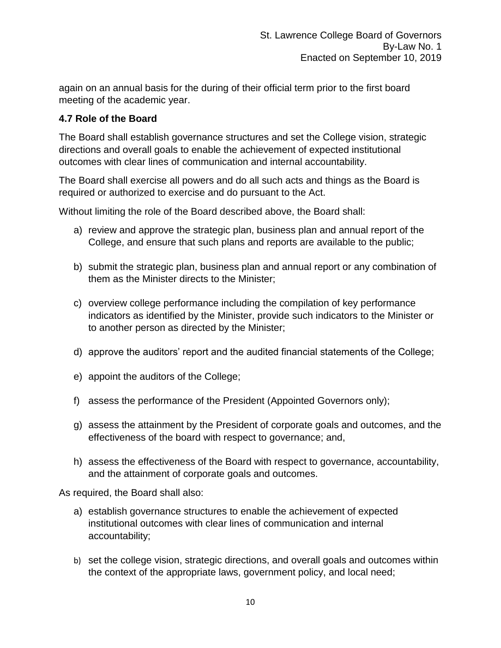again on an annual basis for the during of their official term prior to the first board meeting of the academic year.

# **4.7 Role of the Board**

The Board shall establish governance structures and set the College vision, strategic directions and overall goals to enable the achievement of expected institutional outcomes with clear lines of communication and internal accountability.

The Board shall exercise all powers and do all such acts and things as the Board is required or authorized to exercise and do pursuant to the Act.

Without limiting the role of the Board described above, the Board shall:

- a) review and approve the strategic plan, business plan and annual report of the College, and ensure that such plans and reports are available to the public;
- b) submit the strategic plan, business plan and annual report or any combination of them as the Minister directs to the Minister;
- c) overview college performance including the compilation of key performance indicators as identified by the Minister, provide such indicators to the Minister or to another person as directed by the Minister;
- d) approve the auditors' report and the audited financial statements of the College;
- e) appoint the auditors of the College;
- f) assess the performance of the President (Appointed Governors only);
- g) assess the attainment by the President of corporate goals and outcomes, and the effectiveness of the board with respect to governance; and,
- h) assess the effectiveness of the Board with respect to governance, accountability, and the attainment of corporate goals and outcomes.

As required, the Board shall also:

- a) establish governance structures to enable the achievement of expected institutional outcomes with clear lines of communication and internal accountability;
- b) set the college vision, strategic directions, and overall goals and outcomes within the context of the appropriate laws, government policy, and local need;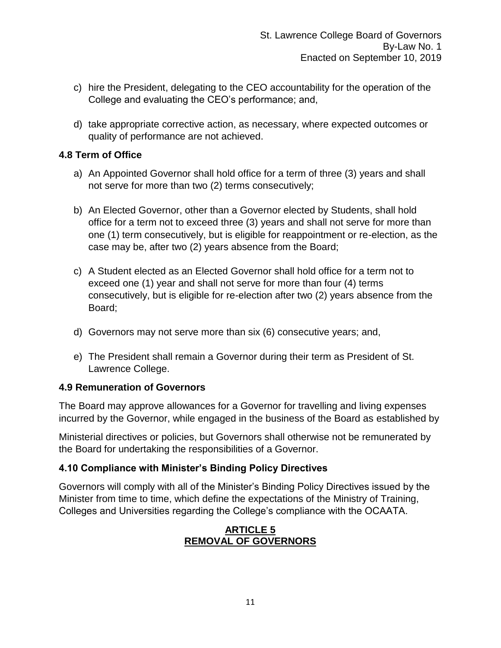- c) hire the President, delegating to the CEO accountability for the operation of the College and evaluating the CEO's performance; and,
- d) take appropriate corrective action, as necessary, where expected outcomes or quality of performance are not achieved.

#### **4.8 Term of Office**

- a) An Appointed Governor shall hold office for a term of three (3) years and shall not serve for more than two (2) terms consecutively;
- b) An Elected Governor, other than a Governor elected by Students, shall hold office for a term not to exceed three (3) years and shall not serve for more than one (1) term consecutively, but is eligible for reappointment or re-election, as the case may be, after two (2) years absence from the Board;
- c) A Student elected as an Elected Governor shall hold office for a term not to exceed one (1) year and shall not serve for more than four (4) terms consecutively, but is eligible for re-election after two (2) years absence from the Board;
- d) Governors may not serve more than six (6) consecutive years; and,
- e) The President shall remain a Governor during their term as President of St. Lawrence College.

#### **4.9 Remuneration of Governors**

The Board may approve allowances for a Governor for travelling and living expenses incurred by the Governor, while engaged in the business of the Board as established by

Ministerial directives or policies, but Governors shall otherwise not be remunerated by the Board for undertaking the responsibilities of a Governor.

# **4.10 Compliance with Minister's Binding Policy Directives**

Governors will comply with all of the Minister's Binding Policy Directives issued by the Minister from time to time, which define the expectations of the Ministry of Training, Colleges and Universities regarding the College's compliance with the OCAATA.

#### **ARTICLE 5 REMOVAL OF GOVERNORS**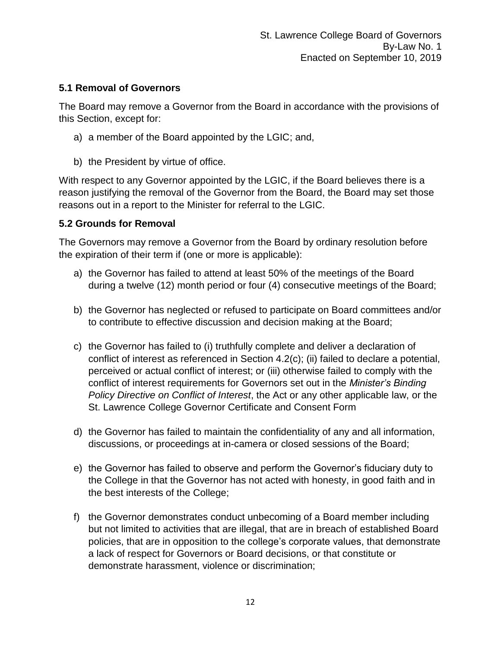#### **5.1 Removal of Governors**

The Board may remove a Governor from the Board in accordance with the provisions of this Section, except for:

- a) a member of the Board appointed by the LGIC; and,
- b) the President by virtue of office.

With respect to any Governor appointed by the LGIC, if the Board believes there is a reason justifying the removal of the Governor from the Board, the Board may set those reasons out in a report to the Minister for referral to the LGIC.

# **5.2 Grounds for Removal**

The Governors may remove a Governor from the Board by ordinary resolution before the expiration of their term if (one or more is applicable):

- a) the Governor has failed to attend at least 50% of the meetings of the Board during a twelve (12) month period or four (4) consecutive meetings of the Board;
- b) the Governor has neglected or refused to participate on Board committees and/or to contribute to effective discussion and decision making at the Board;
- c) the Governor has failed to (i) truthfully complete and deliver a declaration of conflict of interest as referenced in Section 4.2(c); (ii) failed to declare a potential, perceived or actual conflict of interest; or (iii) otherwise failed to comply with the conflict of interest requirements for Governors set out in the *Minister's Binding Policy Directive on Conflict of Interest*, the Act or any other applicable law, or the St. Lawrence College Governor Certificate and Consent Form
- d) the Governor has failed to maintain the confidentiality of any and all information, discussions, or proceedings at in-camera or closed sessions of the Board;
- e) the Governor has failed to observe and perform the Governor's fiduciary duty to the College in that the Governor has not acted with honesty, in good faith and in the best interests of the College;
- f) the Governor demonstrates conduct unbecoming of a Board member including but not limited to activities that are illegal, that are in breach of established Board policies, that are in opposition to the college's corporate values, that demonstrate a lack of respect for Governors or Board decisions, or that constitute or demonstrate harassment, violence or discrimination;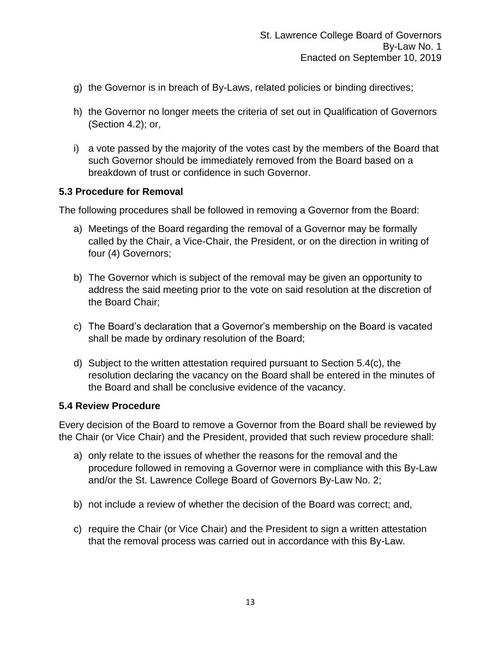- g) the Governor is in breach of By-Laws, related policies or binding directives;
- h) the Governor no longer meets the criteria of set out in Qualification of Governors (Section 4.2); or,
- i) a vote passed by the majority of the votes cast by the members of the Board that such Governor should be immediately removed from the Board based on a breakdown of trust or confidence in such Governor.

#### **5.3 Procedure for Removal**

The following procedures shall be followed in removing a Governor from the Board:

- a) Meetings of the Board regarding the removal of a Governor may be formally called by the Chair, a Vice-Chair, the President, or on the direction in writing of four (4) Governors;
- b) The Governor which is subject of the removal may be given an opportunity to address the said meeting prior to the vote on said resolution at the discretion of the Board Chair;
- c) The Board's declaration that a Governor's membership on the Board is vacated shall be made by ordinary resolution of the Board;
- d) Subject to the written attestation required pursuant to Section 5.4(c), the resolution declaring the vacancy on the Board shall be entered in the minutes of the Board and shall be conclusive evidence of the vacancy.

#### **5.4 Review Procedure**

Every decision of the Board to remove a Governor from the Board shall be reviewed by the Chair (or Vice Chair) and the President, provided that such review procedure shall:

- a) only relate to the issues of whether the reasons for the removal and the procedure followed in removing a Governor were in compliance with this By-Law and/or the St. Lawrence College Board of Governors By-Law No. 2;
- b) not include a review of whether the decision of the Board was correct; and,
- c) require the Chair (or Vice Chair) and the President to sign a written attestation that the removal process was carried out in accordance with this By-Law.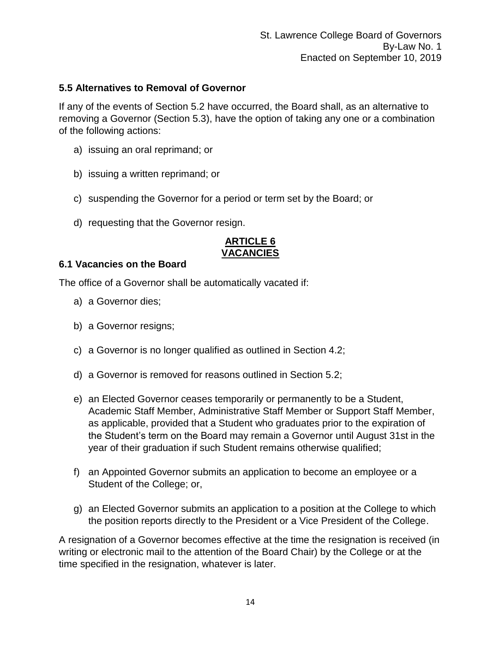#### **5.5 Alternatives to Removal of Governor**

If any of the events of Section 5.2 have occurred, the Board shall, as an alternative to removing a Governor (Section 5.3), have the option of taking any one or a combination of the following actions:

- a) issuing an oral reprimand; or
- b) issuing a written reprimand; or
- c) suspending the Governor for a period or term set by the Board; or
- d) requesting that the Governor resign.

# **ARTICLE 6 VACANCIES**

#### **6.1 Vacancies on the Board**

The office of a Governor shall be automatically vacated if:

- a) a Governor dies;
- b) a Governor resigns;
- c) a Governor is no longer qualified as outlined in Section 4.2;
- d) a Governor is removed for reasons outlined in Section 5.2;
- e) an Elected Governor ceases temporarily or permanently to be a Student, Academic Staff Member, Administrative Staff Member or Support Staff Member, as applicable, provided that a Student who graduates prior to the expiration of the Student's term on the Board may remain a Governor until August 31st in the year of their graduation if such Student remains otherwise qualified;
- f) an Appointed Governor submits an application to become an employee or a Student of the College; or,
- g) an Elected Governor submits an application to a position at the College to which the position reports directly to the President or a Vice President of the College.

A resignation of a Governor becomes effective at the time the resignation is received (in writing or electronic mail to the attention of the Board Chair) by the College or at the time specified in the resignation, whatever is later.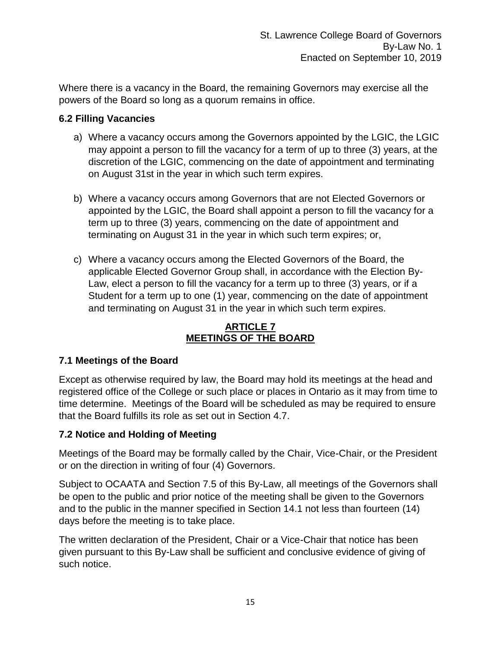Where there is a vacancy in the Board, the remaining Governors may exercise all the powers of the Board so long as a quorum remains in office.

# **6.2 Filling Vacancies**

- a) Where a vacancy occurs among the Governors appointed by the LGIC, the LGIC may appoint a person to fill the vacancy for a term of up to three (3) years, at the discretion of the LGIC, commencing on the date of appointment and terminating on August 31st in the year in which such term expires.
- b) Where a vacancy occurs among Governors that are not Elected Governors or appointed by the LGIC, the Board shall appoint a person to fill the vacancy for a term up to three (3) years, commencing on the date of appointment and terminating on August 31 in the year in which such term expires; or,
- c) Where a vacancy occurs among the Elected Governors of the Board, the applicable Elected Governor Group shall, in accordance with the Election By-Law, elect a person to fill the vacancy for a term up to three (3) years, or if a Student for a term up to one (1) year, commencing on the date of appointment and terminating on August 31 in the year in which such term expires.

# **ARTICLE 7 MEETINGS OF THE BOARD**

# **7.1 Meetings of the Board**

Except as otherwise required by law, the Board may hold its meetings at the head and registered office of the College or such place or places in Ontario as it may from time to time determine. Meetings of the Board will be scheduled as may be required to ensure that the Board fulfills its role as set out in Section 4.7.

# **7.2 Notice and Holding of Meeting**

Meetings of the Board may be formally called by the Chair, Vice-Chair, or the President or on the direction in writing of four (4) Governors.

Subject to OCAATA and Section 7.5 of this By-Law, all meetings of the Governors shall be open to the public and prior notice of the meeting shall be given to the Governors and to the public in the manner specified in Section 14.1 not less than fourteen (14) days before the meeting is to take place.

The written declaration of the President, Chair or a Vice-Chair that notice has been given pursuant to this By-Law shall be sufficient and conclusive evidence of giving of such notice.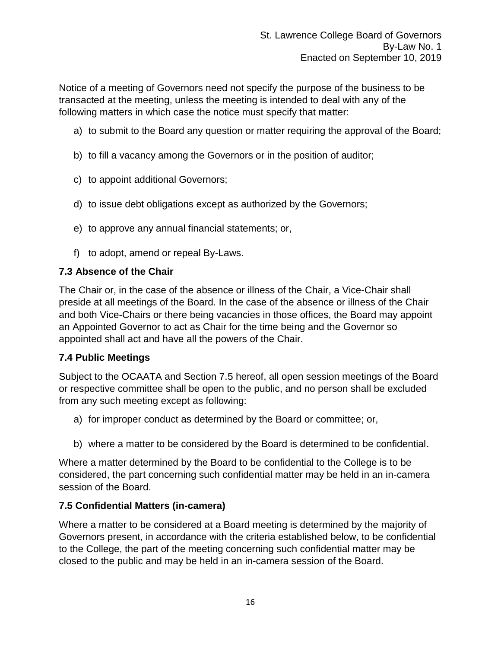Notice of a meeting of Governors need not specify the purpose of the business to be transacted at the meeting, unless the meeting is intended to deal with any of the following matters in which case the notice must specify that matter:

- a) to submit to the Board any question or matter requiring the approval of the Board;
- b) to fill a vacancy among the Governors or in the position of auditor;
- c) to appoint additional Governors;
- d) to issue debt obligations except as authorized by the Governors;
- e) to approve any annual financial statements; or,
- f) to adopt, amend or repeal By-Laws.

#### **7.3 Absence of the Chair**

The Chair or, in the case of the absence or illness of the Chair, a Vice-Chair shall preside at all meetings of the Board. In the case of the absence or illness of the Chair and both Vice-Chairs or there being vacancies in those offices, the Board may appoint an Appointed Governor to act as Chair for the time being and the Governor so appointed shall act and have all the powers of the Chair.

#### **7.4 Public Meetings**

Subject to the OCAATA and Section 7.5 hereof, all open session meetings of the Board or respective committee shall be open to the public, and no person shall be excluded from any such meeting except as following:

- a) for improper conduct as determined by the Board or committee; or,
- b) where a matter to be considered by the Board is determined to be confidential.

Where a matter determined by the Board to be confidential to the College is to be considered, the part concerning such confidential matter may be held in an in-camera session of the Board.

#### **7.5 Confidential Matters (in-camera)**

Where a matter to be considered at a Board meeting is determined by the majority of Governors present, in accordance with the criteria established below, to be confidential to the College, the part of the meeting concerning such confidential matter may be closed to the public and may be held in an in-camera session of the Board.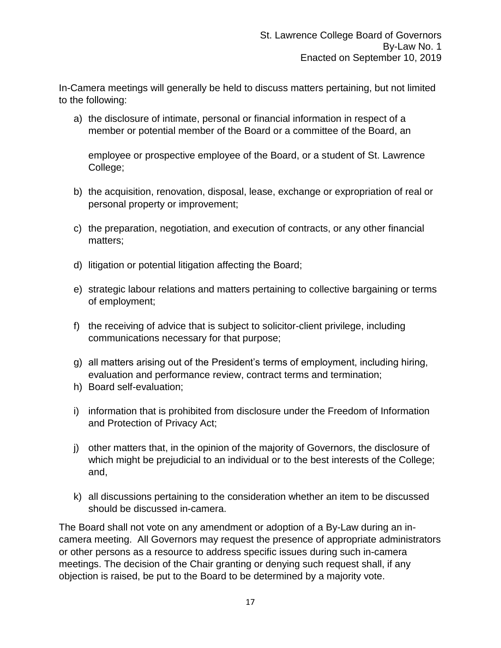In-Camera meetings will generally be held to discuss matters pertaining, but not limited to the following:

a) the disclosure of intimate, personal or financial information in respect of a member or potential member of the Board or a committee of the Board, an

employee or prospective employee of the Board, or a student of St. Lawrence College;

- b) the acquisition, renovation, disposal, lease, exchange or expropriation of real or personal property or improvement;
- c) the preparation, negotiation, and execution of contracts, or any other financial matters;
- d) litigation or potential litigation affecting the Board;
- e) strategic labour relations and matters pertaining to collective bargaining or terms of employment;
- f) the receiving of advice that is subject to solicitor-client privilege, including communications necessary for that purpose;
- g) all matters arising out of the President's terms of employment, including hiring, evaluation and performance review, contract terms and termination;
- h) Board self-evaluation;
- i) information that is prohibited from disclosure under the Freedom of Information and Protection of Privacy Act;
- j) other matters that, in the opinion of the majority of Governors, the disclosure of which might be prejudicial to an individual or to the best interests of the College; and,
- k) all discussions pertaining to the consideration whether an item to be discussed should be discussed in-camera.

The Board shall not vote on any amendment or adoption of a By-Law during an incamera meeting. All Governors may request the presence of appropriate administrators or other persons as a resource to address specific issues during such in-camera meetings. The decision of the Chair granting or denying such request shall, if any objection is raised, be put to the Board to be determined by a majority vote.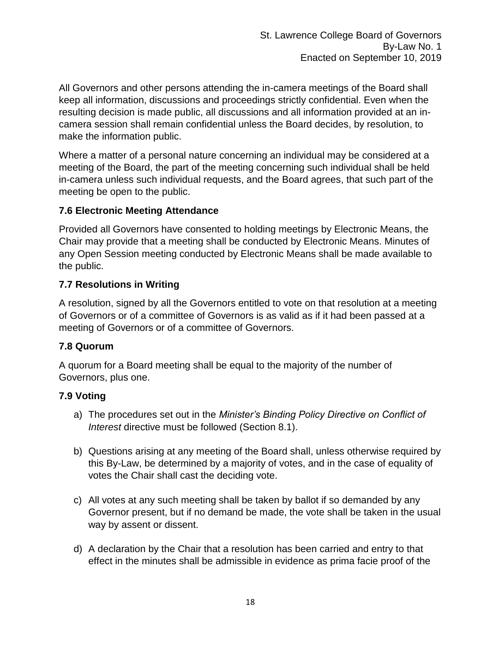All Governors and other persons attending the in-camera meetings of the Board shall keep all information, discussions and proceedings strictly confidential. Even when the resulting decision is made public, all discussions and all information provided at an incamera session shall remain confidential unless the Board decides, by resolution, to make the information public.

Where a matter of a personal nature concerning an individual may be considered at a meeting of the Board, the part of the meeting concerning such individual shall be held in-camera unless such individual requests, and the Board agrees, that such part of the meeting be open to the public.

#### **7.6 Electronic Meeting Attendance**

Provided all Governors have consented to holding meetings by Electronic Means, the Chair may provide that a meeting shall be conducted by Electronic Means. Minutes of any Open Session meeting conducted by Electronic Means shall be made available to the public.

#### **7.7 Resolutions in Writing**

A resolution, signed by all the Governors entitled to vote on that resolution at a meeting of Governors or of a committee of Governors is as valid as if it had been passed at a meeting of Governors or of a committee of Governors.

#### **7.8 Quorum**

A quorum for a Board meeting shall be equal to the majority of the number of Governors, plus one.

#### **7.9 Voting**

- a) The procedures set out in the *Minister's Binding Policy Directive on Conflict of Interest* directive must be followed (Section 8.1).
- b) Questions arising at any meeting of the Board shall, unless otherwise required by this By-Law, be determined by a majority of votes, and in the case of equality of votes the Chair shall cast the deciding vote.
- c) All votes at any such meeting shall be taken by ballot if so demanded by any Governor present, but if no demand be made, the vote shall be taken in the usual way by assent or dissent.
- d) A declaration by the Chair that a resolution has been carried and entry to that effect in the minutes shall be admissible in evidence as prima facie proof of the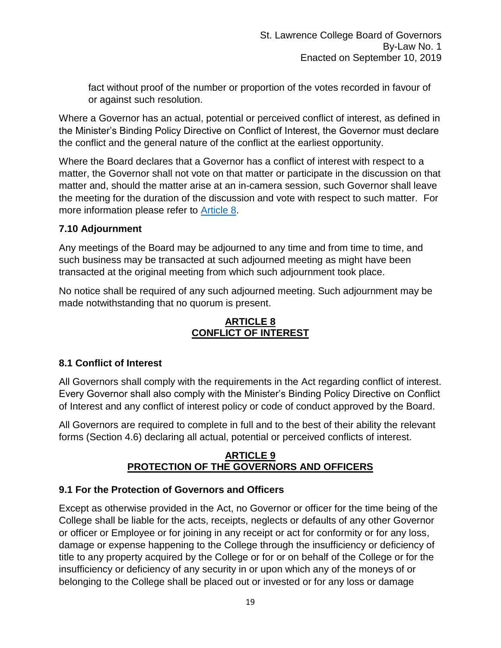fact without proof of the number or proportion of the votes recorded in favour of or against such resolution.

Where a Governor has an actual, potential or perceived conflict of interest, as defined in the Minister's Binding Policy Directive on Conflict of Interest, the Governor must declare the conflict and the general nature of the conflict at the earliest opportunity.

Where the Board declares that a Governor has a conflict of interest with respect to a matter, the Governor shall not vote on that matter or participate in the discussion on that matter and, should the matter arise at an in-camera session, such Governor shall leave the meeting for the duration of the discussion and vote with respect to such matter. For more information please refer to [Article 8.](http://www.tcu.gov.on.ca/pepg/documents/ConflictofInterestDirective.pdf)

# **7.10 Adjournment**

Any meetings of the Board may be adjourned to any time and from time to time, and such business may be transacted at such adjourned meeting as might have been transacted at the original meeting from which such adjournment took place.

No notice shall be required of any such adjourned meeting. Such adjournment may be made notwithstanding that no quorum is present.

# **ARTICLE 8 CONFLICT OF INTEREST**

# **8.1 Conflict of Interest**

All Governors shall comply with the requirements in the Act regarding conflict of interest. Every Governor shall also comply with the Minister's Binding Policy Directive on Conflict of Interest and any conflict of interest policy or code of conduct approved by the Board.

All Governors are required to complete in full and to the best of their ability the relevant forms (Section 4.6) declaring all actual, potential or perceived conflicts of interest.

#### **ARTICLE 9 PROTECTION OF THE GOVERNORS AND OFFICERS**

# **9.1 For the Protection of Governors and Officers**

Except as otherwise provided in the Act, no Governor or officer for the time being of the College shall be liable for the acts, receipts, neglects or defaults of any other Governor or officer or Employee or for joining in any receipt or act for conformity or for any loss, damage or expense happening to the College through the insufficiency or deficiency of title to any property acquired by the College or for or on behalf of the College or for the insufficiency or deficiency of any security in or upon which any of the moneys of or belonging to the College shall be placed out or invested or for any loss or damage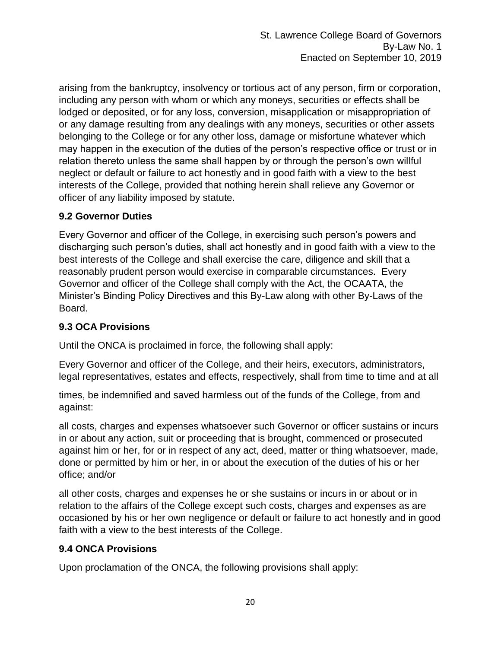arising from the bankruptcy, insolvency or tortious act of any person, firm or corporation, including any person with whom or which any moneys, securities or effects shall be lodged or deposited, or for any loss, conversion, misapplication or misappropriation of or any damage resulting from any dealings with any moneys, securities or other assets belonging to the College or for any other loss, damage or misfortune whatever which may happen in the execution of the duties of the person's respective office or trust or in relation thereto unless the same shall happen by or through the person's own willful neglect or default or failure to act honestly and in good faith with a view to the best interests of the College, provided that nothing herein shall relieve any Governor or officer of any liability imposed by statute.

# **9.2 Governor Duties**

Every Governor and officer of the College, in exercising such person's powers and discharging such person's duties, shall act honestly and in good faith with a view to the best interests of the College and shall exercise the care, diligence and skill that a reasonably prudent person would exercise in comparable circumstances. Every Governor and officer of the College shall comply with the Act, the OCAATA, the Minister's Binding Policy Directives and this By-Law along with other By-Laws of the Board.

#### **9.3 OCA Provisions**

Until the ONCA is proclaimed in force, the following shall apply:

Every Governor and officer of the College, and their heirs, executors, administrators, legal representatives, estates and effects, respectively, shall from time to time and at all

times, be indemnified and saved harmless out of the funds of the College, from and against:

all costs, charges and expenses whatsoever such Governor or officer sustains or incurs in or about any action, suit or proceeding that is brought, commenced or prosecuted against him or her, for or in respect of any act, deed, matter or thing whatsoever, made, done or permitted by him or her, in or about the execution of the duties of his or her office; and/or

all other costs, charges and expenses he or she sustains or incurs in or about or in relation to the affairs of the College except such costs, charges and expenses as are occasioned by his or her own negligence or default or failure to act honestly and in good faith with a view to the best interests of the College.

#### **9.4 ONCA Provisions**

Upon proclamation of the ONCA, the following provisions shall apply: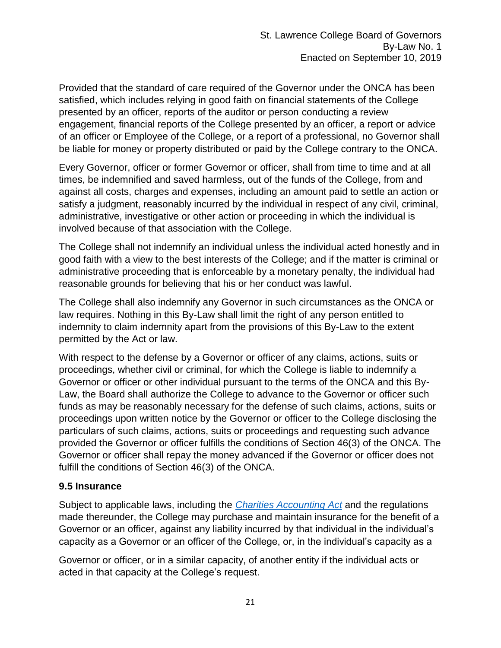Provided that the standard of care required of the Governor under the ONCA has been satisfied, which includes relying in good faith on financial statements of the College presented by an officer, reports of the auditor or person conducting a review engagement, financial reports of the College presented by an officer, a report or advice of an officer or Employee of the College, or a report of a professional, no Governor shall be liable for money or property distributed or paid by the College contrary to the ONCA.

Every Governor, officer or former Governor or officer, shall from time to time and at all times, be indemnified and saved harmless, out of the funds of the College, from and against all costs, charges and expenses, including an amount paid to settle an action or satisfy a judgment, reasonably incurred by the individual in respect of any civil, criminal, administrative, investigative or other action or proceeding in which the individual is involved because of that association with the College.

The College shall not indemnify an individual unless the individual acted honestly and in good faith with a view to the best interests of the College; and if the matter is criminal or administrative proceeding that is enforceable by a monetary penalty, the individual had reasonable grounds for believing that his or her conduct was lawful.

The College shall also indemnify any Governor in such circumstances as the ONCA or law requires. Nothing in this By-Law shall limit the right of any person entitled to indemnity to claim indemnity apart from the provisions of this By-Law to the extent permitted by the Act or law.

With respect to the defense by a Governor or officer of any claims, actions, suits or proceedings, whether civil or criminal, for which the College is liable to indemnify a Governor or officer or other individual pursuant to the terms of the ONCA and this By-Law, the Board shall authorize the College to advance to the Governor or officer such funds as may be reasonably necessary for the defense of such claims, actions, suits or proceedings upon written notice by the Governor or officer to the College disclosing the particulars of such claims, actions, suits or proceedings and requesting such advance provided the Governor or officer fulfills the conditions of Section 46(3) of the ONCA. The Governor or officer shall repay the money advanced if the Governor or officer does not fulfill the conditions of Section 46(3) of the ONCA.

#### **9.5 Insurance**

Subject to applicable laws, including the *[Charities Accounting Act](https://www.ontario.ca/laws/regulation/010004)* and the regulations made thereunder, the College may purchase and maintain insurance for the benefit of a Governor or an officer, against any liability incurred by that individual in the individual's capacity as a Governor or an officer of the College, or, in the individual's capacity as a

Governor or officer, or in a similar capacity, of another entity if the individual acts or acted in that capacity at the College's request.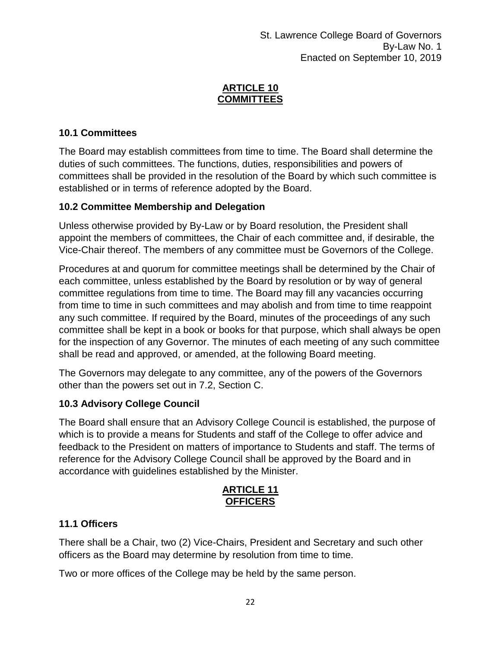#### **ARTICLE 10 COMMITTEES**

# **10.1 Committees**

The Board may establish committees from time to time. The Board shall determine the duties of such committees. The functions, duties, responsibilities and powers of committees shall be provided in the resolution of the Board by which such committee is established or in terms of reference adopted by the Board.

# **10.2 Committee Membership and Delegation**

Unless otherwise provided by By-Law or by Board resolution, the President shall appoint the members of committees, the Chair of each committee and, if desirable, the Vice-Chair thereof. The members of any committee must be Governors of the College.

Procedures at and quorum for committee meetings shall be determined by the Chair of each committee, unless established by the Board by resolution or by way of general committee regulations from time to time. The Board may fill any vacancies occurring from time to time in such committees and may abolish and from time to time reappoint any such committee. If required by the Board, minutes of the proceedings of any such committee shall be kept in a book or books for that purpose, which shall always be open for the inspection of any Governor. The minutes of each meeting of any such committee shall be read and approved, or amended, at the following Board meeting.

The Governors may delegate to any committee, any of the powers of the Governors other than the powers set out in 7.2, Section C.

# **10.3 Advisory College Council**

The Board shall ensure that an Advisory College Council is established, the purpose of which is to provide a means for Students and staff of the College to offer advice and feedback to the President on matters of importance to Students and staff. The terms of reference for the Advisory College Council shall be approved by the Board and in accordance with guidelines established by the Minister.

# **ARTICLE 11 OFFICERS**

# **11.1 Officers**

There shall be a Chair, two (2) Vice-Chairs, President and Secretary and such other officers as the Board may determine by resolution from time to time.

Two or more offices of the College may be held by the same person.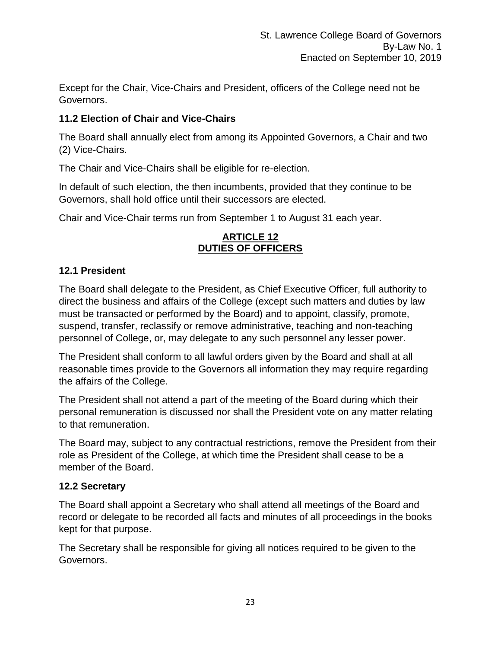Except for the Chair, Vice-Chairs and President, officers of the College need not be Governors.

# **11.2 Election of Chair and Vice-Chairs**

The Board shall annually elect from among its Appointed Governors, a Chair and two (2) Vice-Chairs.

The Chair and Vice-Chairs shall be eligible for re-election.

In default of such election, the then incumbents, provided that they continue to be Governors, shall hold office until their successors are elected.

Chair and Vice-Chair terms run from September 1 to August 31 each year.

#### **ARTICLE 12 DUTIES OF OFFICERS**

# **12.1 President**

The Board shall delegate to the President, as Chief Executive Officer, full authority to direct the business and affairs of the College (except such matters and duties by law must be transacted or performed by the Board) and to appoint, classify, promote, suspend, transfer, reclassify or remove administrative, teaching and non-teaching personnel of College, or, may delegate to any such personnel any lesser power.

The President shall conform to all lawful orders given by the Board and shall at all reasonable times provide to the Governors all information they may require regarding the affairs of the College.

The President shall not attend a part of the meeting of the Board during which their personal remuneration is discussed nor shall the President vote on any matter relating to that remuneration.

The Board may, subject to any contractual restrictions, remove the President from their role as President of the College, at which time the President shall cease to be a member of the Board.

# **12.2 Secretary**

The Board shall appoint a Secretary who shall attend all meetings of the Board and record or delegate to be recorded all facts and minutes of all proceedings in the books kept for that purpose.

The Secretary shall be responsible for giving all notices required to be given to the Governors.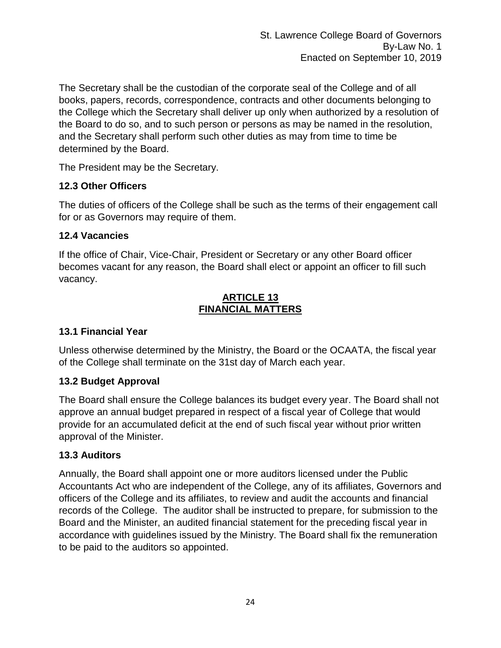The Secretary shall be the custodian of the corporate seal of the College and of all books, papers, records, correspondence, contracts and other documents belonging to the College which the Secretary shall deliver up only when authorized by a resolution of the Board to do so, and to such person or persons as may be named in the resolution, and the Secretary shall perform such other duties as may from time to time be determined by the Board.

The President may be the Secretary.

#### **12.3 Other Officers**

The duties of officers of the College shall be such as the terms of their engagement call for or as Governors may require of them.

# **12.4 Vacancies**

If the office of Chair, Vice-Chair, President or Secretary or any other Board officer becomes vacant for any reason, the Board shall elect or appoint an officer to fill such vacancy.

#### **ARTICLE 13 FINANCIAL MATTERS**

# **13.1 Financial Year**

Unless otherwise determined by the Ministry, the Board or the OCAATA, the fiscal year of the College shall terminate on the 31st day of March each year.

# **13.2 Budget Approval**

The Board shall ensure the College balances its budget every year. The Board shall not approve an annual budget prepared in respect of a fiscal year of College that would provide for an accumulated deficit at the end of such fiscal year without prior written approval of the Minister.

# **13.3 Auditors**

Annually, the Board shall appoint one or more auditors licensed under the Public Accountants Act who are independent of the College, any of its affiliates, Governors and officers of the College and its affiliates, to review and audit the accounts and financial records of the College. The auditor shall be instructed to prepare, for submission to the Board and the Minister, an audited financial statement for the preceding fiscal year in accordance with guidelines issued by the Ministry. The Board shall fix the remuneration to be paid to the auditors so appointed.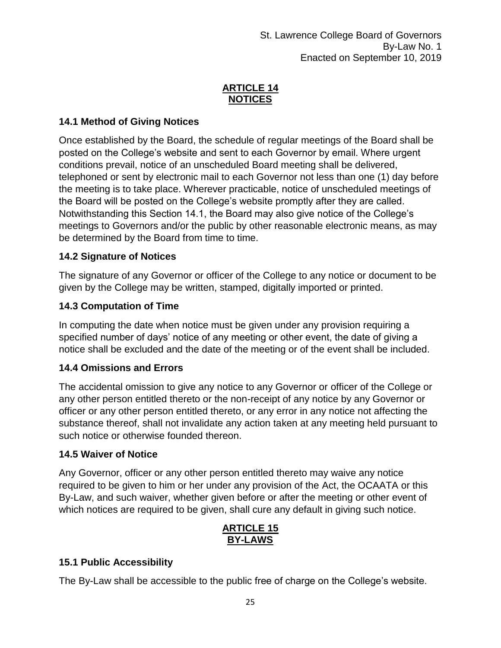# **ARTICLE 14 NOTICES**

# **14.1 Method of Giving Notices**

Once established by the Board, the schedule of regular meetings of the Board shall be posted on the College's website and sent to each Governor by email. Where urgent conditions prevail, notice of an unscheduled Board meeting shall be delivered, telephoned or sent by electronic mail to each Governor not less than one (1) day before the meeting is to take place. Wherever practicable, notice of unscheduled meetings of the Board will be posted on the College's website promptly after they are called. Notwithstanding this Section 14.1, the Board may also give notice of the College's meetings to Governors and/or the public by other reasonable electronic means, as may be determined by the Board from time to time.

# **14.2 Signature of Notices**

The signature of any Governor or officer of the College to any notice or document to be given by the College may be written, stamped, digitally imported or printed.

# **14.3 Computation of Time**

In computing the date when notice must be given under any provision requiring a specified number of days' notice of any meeting or other event, the date of giving a notice shall be excluded and the date of the meeting or of the event shall be included.

#### **14.4 Omissions and Errors**

The accidental omission to give any notice to any Governor or officer of the College or any other person entitled thereto or the non-receipt of any notice by any Governor or officer or any other person entitled thereto, or any error in any notice not affecting the substance thereof, shall not invalidate any action taken at any meeting held pursuant to such notice or otherwise founded thereon.

#### **14.5 Waiver of Notice**

Any Governor, officer or any other person entitled thereto may waive any notice required to be given to him or her under any provision of the Act, the OCAATA or this By-Law, and such waiver, whether given before or after the meeting or other event of which notices are required to be given, shall cure any default in giving such notice.

# **ARTICLE 15 BY-LAWS**

# **15.1 Public Accessibility**

The By-Law shall be accessible to the public free of charge on the College's website.